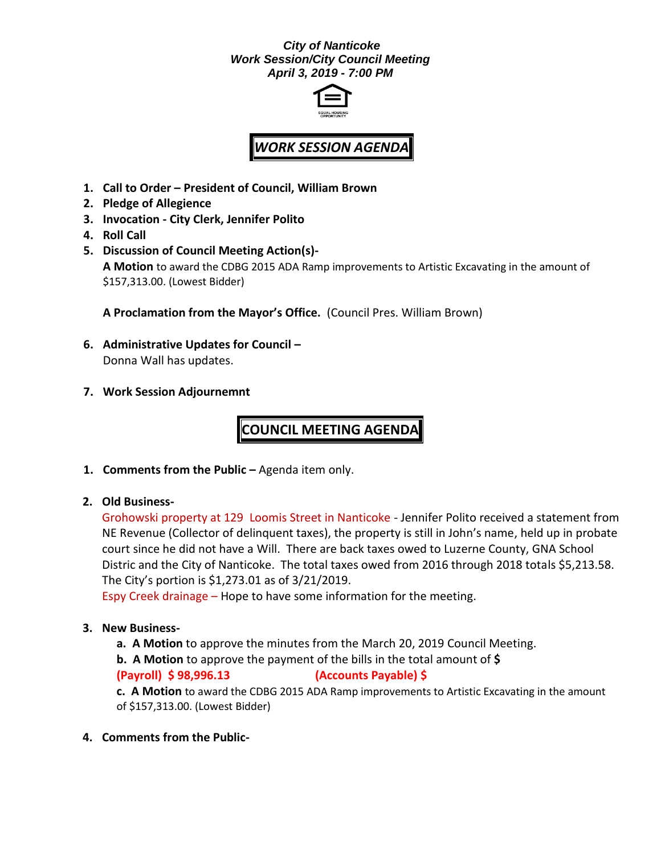## *City of Nanticoke Work Session/City Council Meeting April 3, 2019 - 7:00 PM*



## *WORK SESSION AGENDA*

- **1. Call to Order – President of Council, William Brown**
- **2. Pledge of Allegience**
- **3. Invocation - City Clerk, Jennifer Polito**
- **4. Roll Call**
- **5. Discussion of Council Meeting Action(s)- A Motion** to award the CDBG 2015 ADA Ramp improvements to Artistic Excavating in the amount of \$157,313.00. (Lowest Bidder)

**A Proclamation from the Mayor's Office.** (Council Pres. William Brown)

- **6. Administrative Updates for Council –** Donna Wall has updates.
- **7. Work Session Adjournemnt**

## **COUNCIL MEETING AGENDA**

- **1. Comments from the Public –** Agenda item only.
- **2. Old Business-**

Grohowski property at 129 Loomis Street in Nanticoke - Jennifer Polito received a statement from NE Revenue (Collector of delinquent taxes), the property is still in John's name, held up in probate court since he did not have a Will. There are back taxes owed to Luzerne County, GNA School Distric and the City of Nanticoke. The total taxes owed from 2016 through 2018 totals \$5,213.58. The City's portion is \$1,273.01 as of 3/21/2019.

Espy Creek drainage – Hope to have some information for the meeting.

## **3. New Business-**

**a. A Motion** to approve the minutes from the March 20, 2019 Council Meeting.

**b. A Motion** to approve the payment of the bills in the total amount of **\$** 

**(Payroll) \$ 98,996.13 (Accounts Payable) \$**

**c. A Motion** to award the CDBG 2015 ADA Ramp improvements to Artistic Excavating in the amount of \$157,313.00. (Lowest Bidder)

**4. Comments from the Public-**